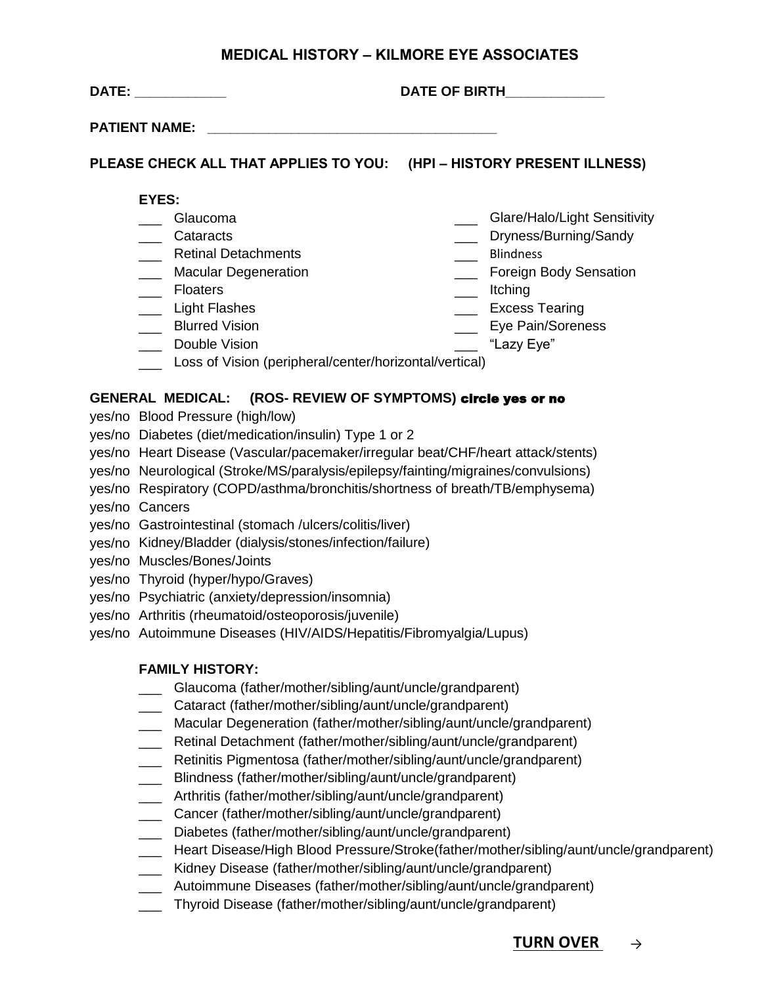## **MEDICAL HISTORY – KILMORE EYE ASSOCIATES**

| <b>DATE:</b>         |                                                                                                                                                        | <b>DATE OF BIRTH</b> |                                                                                                                                                                     |  |  |  |
|----------------------|--------------------------------------------------------------------------------------------------------------------------------------------------------|----------------------|---------------------------------------------------------------------------------------------------------------------------------------------------------------------|--|--|--|
| <b>PATIENT NAME:</b> |                                                                                                                                                        |                      |                                                                                                                                                                     |  |  |  |
|                      | PLEASE CHECK ALL THAT APPLIES TO YOU:                                                                                                                  |                      | (HPI – HISTORY PRESENT ILLNESS)                                                                                                                                     |  |  |  |
| EYES:                | Glaucoma<br>Cataracts<br><b>Retinal Detachments</b><br><b>Macular Degeneration</b><br><b>Floaters</b><br><b>Light Flashes</b><br><b>Blurred Vision</b> |                      | Glare/Halo/Light Sensitivity<br>Dryness/Burning/Sandy<br><b>Blindness</b><br><b>Foreign Body Sensation</b><br>Itching<br><b>Excess Tearing</b><br>Eye Pain/Soreness |  |  |  |

- Double Vision **Double Vision Example 2**  $\sim$  "Lazy Eye"
- 
- Loss of Vision (peripheral/center/horizontal/vertical)

#### **GENERAL MEDICAL: (ROS- REVIEW OF SYMPTOMS)** circle yes or no

- yes/no Blood Pressure (high/low)
- yes/no Diabetes (diet/medication/insulin) Type 1 or 2
- yes/no Heart Disease (Vascular/pacemaker/irregular beat/CHF/heart attack/stents)
- yes/no Neurological (Stroke/MS/paralysis/epilepsy/fainting/migraines/convulsions)
- yes/no Respiratory (COPD/asthma/bronchitis/shortness of breath/TB/emphysema)
- yes/no Cancers
- yes/no Gastrointestinal (stomach /ulcers/colitis/liver)
- yes/no Kidney/Bladder (dialysis/stones/infection/failure)
- yes/no Muscles/Bones/Joints
- yes/no Thyroid (hyper/hypo/Graves)
- yes/no Psychiatric (anxiety/depression/insomnia)
- yes/no Arthritis (rheumatoid/osteoporosis/juvenile)
- yes/no Autoimmune Diseases (HIV/AIDS/Hepatitis/Fibromyalgia/Lupus)

### **FAMILY HISTORY:**

- \_\_\_ Glaucoma (father/mother/sibling/aunt/uncle/grandparent)
- \_\_\_ Cataract (father/mother/sibling/aunt/uncle/grandparent)
- \_\_\_ Macular Degeneration (father/mother/sibling/aunt/uncle/grandparent)
- \_\_\_ Retinal Detachment (father/mother/sibling/aunt/uncle/grandparent)
- \_\_\_ Retinitis Pigmentosa (father/mother/sibling/aunt/uncle/grandparent)
- \_\_\_ Blindness (father/mother/sibling/aunt/uncle/grandparent)
- \_\_\_ Arthritis (father/mother/sibling/aunt/uncle/grandparent)
- \_\_\_ Cancer (father/mother/sibling/aunt/uncle/grandparent)
- \_\_\_ Diabetes (father/mother/sibling/aunt/uncle/grandparent)
- \_\_\_ Heart Disease/High Blood Pressure/Stroke(father/mother/sibling/aunt/uncle/grandparent)
- \_\_\_ Kidney Disease (father/mother/sibling/aunt/uncle/grandparent)
- \_\_\_ Autoimmune Diseases (father/mother/sibling/aunt/uncle/grandparent)
- \_\_\_ Thyroid Disease (father/mother/sibling/aunt/uncle/grandparent)

# **TURN OVER** →